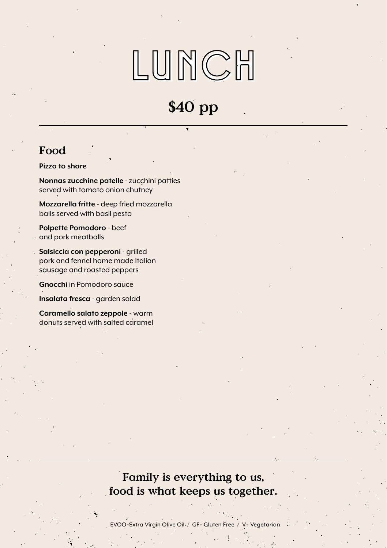# LUNCH

## \$40 pp

### Food

**Pizza to share**

**Nonnas zucchine patelle** - zucchini patties served with tomato onion chutney

**Mozzarella fritte** - deep fried mozzarella balls served with basil pesto

**Polpette Pomodoro** - beef and pork meatballs

**Salsiccia con pepperoni** - grilled pork and fennel home made Italian sausage and roasted peppers

**Gnocchi** in Pomodoro sauce

**Insalata fresca** - garden salad

**Caramello salato zeppole** - warm donuts served with salted caramel

### Family is everything to us, food is what keeps us together.

EVOO=Extra Virgin Olive Oil / GF= Gluten Free